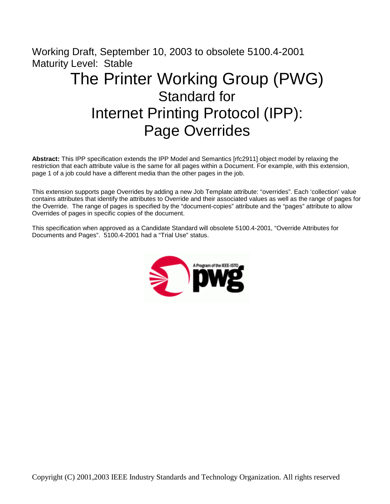# Working Draft, September 10, 2003 to obsolete 5100.4-2001 Maturity Level: Stable The Printer Working Group (PWG) Standard for Internet Printing Protocol (IPP): Page Overrides

**Abstract:** This IPP specification extends the IPP Model and Semantics [rfc2911] object model by relaxing the restriction that each attribute value is the same for all pages within a Document. For example, with this extension, page 1 of a job could have a different media than the other pages in the job.

This extension supports page Overrides by adding a new Job Template attribute: "overrides". Each 'collection' value contains attributes that identify the attributes to Override and their associated values as well as the range of pages for the Override. The range of pages is specified by the "document-copies" attribute and the "pages" attribute to allow Overrides of pages in specific copies of the document.

This specification when approved as a Candidate Standard will obsolete 5100.4-2001, "Override Attributes for Documents and Pages". 5100.4-2001 had a "Trial Use" status.

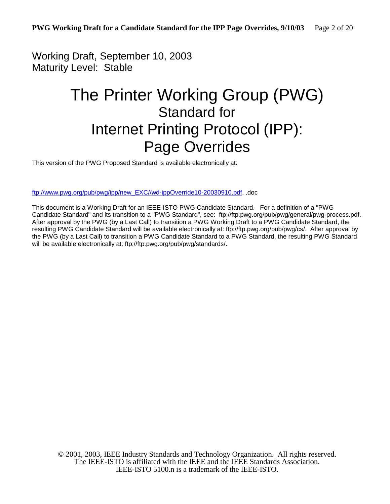Working Draft, September 10, 2003 Maturity Level: Stable

# The Printer Working Group (PWG) Standard for Internet Printing Protocol (IPP): Page Overrides

This version of the PWG Proposed Standard is available electronically at:

ftp://www.pwg.org/pub/pwg/ipp/new\_EXC//wd-ippOverride10-20030910.pdf, .doc

This document is a Working Draft for an IEEE-ISTO PWG Candidate Standard. For a definition of a "PWG Candidate Standard" and its transition to a "PWG Standard", see: ftp://ftp.pwg.org/pub/pwg/general/pwg-process.pdf. After approval by the PWG (by a Last Call) to transition a PWG Working Draft to a PWG Candidate Standard, the resulting PWG Candidate Standard will be available electronically at: ftp://ftp.pwg.org/pub/pwg/cs/. After approval by the PWG (by a Last Call) to transition a PWG Candidate Standard to a PWG Standard, the resulting PWG Standard will be available electronically at: ftp://ftp.pwg.org/pub/pwg/standards/.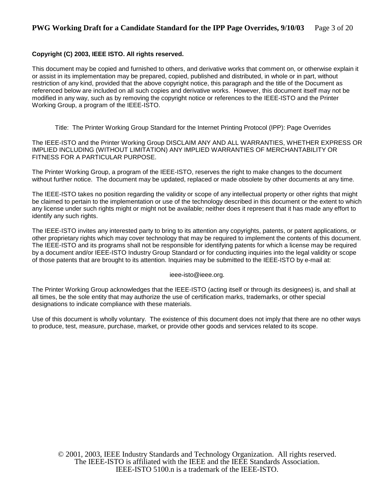## **Copyright (C) 2003, IEEE ISTO. All rights reserved.**

This document may be copied and furnished to others, and derivative works that comment on, or otherwise explain it or assist in its implementation may be prepared, copied, published and distributed, in whole or in part, without restriction of any kind, provided that the above copyright notice, this paragraph and the title of the Document as referenced below are included on all such copies and derivative works. However, this document itself may not be modified in any way, such as by removing the copyright notice or references to the IEEE-ISTO and the Printer Working Group, a program of the IEEE-ISTO.

Title: The Printer Working Group Standard for the Internet Printing Protocol (IPP): Page Overrides

The IEEE-ISTO and the Printer Working Group DISCLAIM ANY AND ALL WARRANTIES, WHETHER EXPRESS OR IMPLIED INCLUDING (WITHOUT LIMITATION) ANY IMPLIED WARRANTIES OF MERCHANTABILITY OR FITNESS FOR A PARTICULAR PURPOSE.

The Printer Working Group, a program of the IEEE-ISTO, reserves the right to make changes to the document without further notice. The document may be updated, replaced or made obsolete by other documents at any time.

The IEEE-ISTO takes no position regarding the validity or scope of any intellectual property or other rights that might be claimed to pertain to the implementation or use of the technology described in this document or the extent to which any license under such rights might or might not be available; neither does it represent that it has made any effort to identify any such rights.

The IEEE-ISTO invites any interested party to bring to its attention any copyrights, patents, or patent applications, or other proprietary rights which may cover technology that may be required to implement the contents of this document. The IEEE-ISTO and its programs shall not be responsible for identifying patents for which a license may be required by a document and/or IEEE-ISTO Industry Group Standard or for conducting inquiries into the legal validity or scope of those patents that are brought to its attention. Inquiries may be submitted to the IEEE-ISTO by e-mail at:

ieee-isto@ieee.org.

The Printer Working Group acknowledges that the IEEE-ISTO (acting itself or through its designees) is, and shall at all times, be the sole entity that may authorize the use of certification marks, trademarks, or other special designations to indicate compliance with these materials.

Use of this document is wholly voluntary. The existence of this document does not imply that there are no other ways to produce, test, measure, purchase, market, or provide other goods and services related to its scope.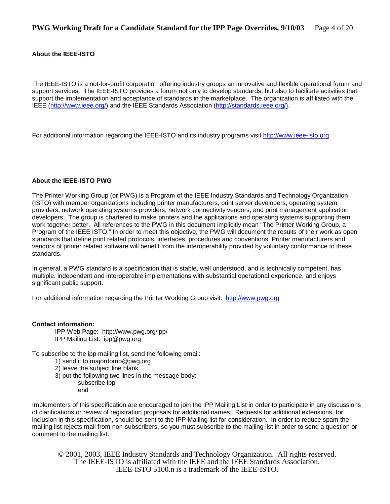### **About the IEEE-ISTO**

The IEEE-ISTO is a not-for-profit corporation offering industry groups an innovative and flexible operational forum and support services. The IEEE-ISTO provides a forum not only to develop standards, but also to facilitate activities that support the implementation and acceptance of standards in the marketplace. The organization is affiliated with the IEEE (http://www.ieee.org/) and the IEEE Standards Association (http://standards.ieee.org/).

For additional information regarding the IEEE-ISTO and its industry programs visit http://www.ieee-isto.org.

#### **About the IEEE-ISTO PWG**

The Printer Working Group (or PWG) is a Program of the IEEE Industry Standards and Technology Organization (ISTO) with member organizations including printer manufacturers, print server developers, operating system providers, network operating systems providers, network connectivity vendors, and print management application developers. The group is chartered to make printers and the applications and operating systems supporting them work together better. All references to the PWG in this document implicitly mean "The Printer Working Group, a Program of the IEEE ISTO." In order to meet this objective, the PWG will document the results of their work as open standards that define print related protocols, interfaces, procedures and conventions. Printer manufacturers and vendors of printer related software will benefit from the interoperability provided by voluntary conformance to these standards.

In general, a PWG standard is a specification that is stable, well understood, and is technically competent, has multiple, independent and interoperable implementations with substantial operational experience, and enjoys significant public support.

For additional information regarding the Printer Working Group visit: http://www.pwg.org

#### **Contact information:**

IPP Web Page: http://www.pwg.org/ipp/ IPP Mailing List: ipp@pwg.org

To subscribe to the ipp mailing list, send the following email:

- 1) send it to majordomo@pwg.org
- 2) leave the subject line blank
- 3) put the following two lines in the message body:
	- subscribe ipp
	- end

Implementers of this specification are encouraged to join the IPP Mailing List in order to participate in any discussions of clarifications or review of registration proposals for additional names. Requests for additional extensions, for inclusion in this specification, should be sent to the IPP Mailing list for consideration. In order to reduce spam the mailing list rejects mail from non-subscribers, so you must subscribe to the mailing list in order to send a question or comment to the mailing list.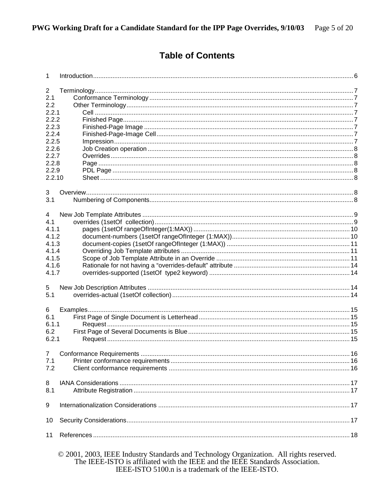# **Table of Contents**

| 1              |                                                                                         |  |  |  |
|----------------|-----------------------------------------------------------------------------------------|--|--|--|
| $\overline{c}$ |                                                                                         |  |  |  |
| 2.1            |                                                                                         |  |  |  |
| 2.2            |                                                                                         |  |  |  |
| 2.2.1          |                                                                                         |  |  |  |
| 2.2.2          |                                                                                         |  |  |  |
| 2.2.3          |                                                                                         |  |  |  |
| 2.2.4          |                                                                                         |  |  |  |
| 2.2.5          |                                                                                         |  |  |  |
| 2.2.6          |                                                                                         |  |  |  |
| 2.2.7          |                                                                                         |  |  |  |
| 2.2.8          |                                                                                         |  |  |  |
| 2.2.9          |                                                                                         |  |  |  |
| 2.2.10         |                                                                                         |  |  |  |
| 3              |                                                                                         |  |  |  |
| 3.1            |                                                                                         |  |  |  |
| 4              |                                                                                         |  |  |  |
| 4.1            |                                                                                         |  |  |  |
| 4.1.1          |                                                                                         |  |  |  |
| 4.1.2          |                                                                                         |  |  |  |
| 4.1.3          |                                                                                         |  |  |  |
| 4.1.4          |                                                                                         |  |  |  |
| 4.1.5          |                                                                                         |  |  |  |
| 4.1.6          |                                                                                         |  |  |  |
| 4.1.7          |                                                                                         |  |  |  |
| 5              |                                                                                         |  |  |  |
| 5.1            |                                                                                         |  |  |  |
| 6              |                                                                                         |  |  |  |
| 6.1            |                                                                                         |  |  |  |
| 6.1.1          |                                                                                         |  |  |  |
| 6.2            |                                                                                         |  |  |  |
| 6.2.1          |                                                                                         |  |  |  |
| $\overline{7}$ |                                                                                         |  |  |  |
| 7.1            |                                                                                         |  |  |  |
| 7.2            |                                                                                         |  |  |  |
| 8              |                                                                                         |  |  |  |
| 8.1            |                                                                                         |  |  |  |
| 9              |                                                                                         |  |  |  |
| 10             |                                                                                         |  |  |  |
| 11             |                                                                                         |  |  |  |
|                | © 2001, 2003, IEEE Industry Standards and Technology Organization. All rights reserved. |  |  |  |

The IEEE-ISTO is affiliated with the IEEE and the IEEE Standards Association.<br>IEEE-ISTO 5100.n is a trademark of the IEEE-ISTO.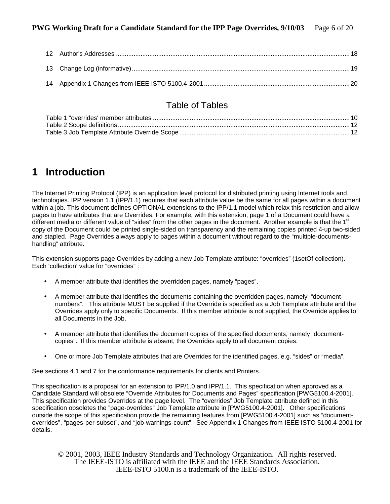# Table of Tables

# **1 Introduction**

The Internet Printing Protocol (IPP) is an application level protocol for distributed printing using Internet tools and technologies. IPP version 1.1 (IPP/1.1) requires that each attribute value be the same for all pages within a document within a job. This document defines OPTIONAL extensions to the IPP/1.1 model which relax this restriction and allow pages to have attributes that are Overrides. For example, with this extension, page 1 of a Document could have a different media or different value of "sides" from the other pages in the document. Another example is that the 1<sup>st</sup> copy of the Document could be printed single-sided on transparency and the remaining copies printed 4-up two-sided and stapled. Page Overrides always apply to pages within a document without regard to the "multiple-documentshandling" attribute.

This extension supports page Overrides by adding a new Job Template attribute: "overrides" (1setOf collection). Each 'collection' value for "overrides" :

- A member attribute that identifies the overridden pages, namely "pages".
- A member attribute that identifies the documents containing the overridden pages, namely "documentnumbers". This attribute MUST be supplied if the Override is specified as a Job Template attribute and the Overrides apply only to specific Documents. If this member attribute is not supplied, the Override applies to all Documents in the Job.
- A member attribute that identifies the document copies of the specified documents, namely "documentcopies". If this member attribute is absent, the Overrides apply to all document copies.
- One or more Job Template attributes that are Overrides for the identified pages, e.g. "sides" or "media".

See sections 4.1 and 7 for the conformance requirements for clients and Printers.

This specification is a proposal for an extension to IPP/1.0 and IPP/1.1. This specification when approved as a Candidate Standard will obsolete "Override Attributes for Documents and Pages" specification [PWG5100.4-2001]. This specification provides Overrides at the page level. The "overrides" Job Template attribute defined in this specification obsoletes the "page-overrides" Job Template attribute in [PWG5100.4-2001]. Other specifications outside the scope of this specification provide the remaining features from [PWG5100.4-2001] such as "documentoverrides", "pages-per-subset", and "job-warnings-count". See Appendix 1 Changes from IEEE ISTO 5100.4-2001 for details.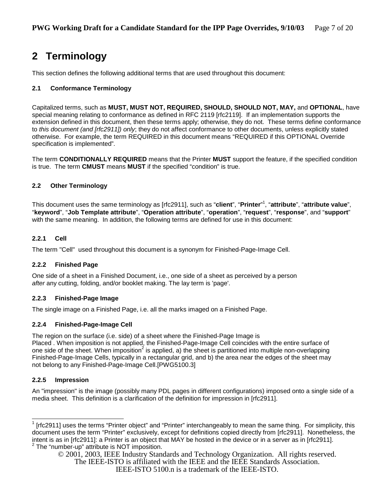# **2 Terminology**

This section defines the following additional terms that are used throughout this document:

# **2.1 Conformance Terminology**

Capitalized terms, such as **MUST, MUST NOT, REQUIRED, SHOULD, SHOULD NOT, MAY,** and **OPTIONAL**, have special meaning relating to conformance as defined in RFC 2119 [rfc2119]. If an implementation supports the extension defined in this document, then these terms apply; otherwise, they do not. These terms define conformance to *this document (and [rfc2911]) only*; they do not affect conformance to other documents, unless explicitly stated otherwise. For example, the term REQUIRED in this document means "REQUIRED if this OPTIONAL Override specification is implemented"*.* 

The term **CONDITIONALLY REQUIRED** means that the Printer **MUST** support the feature, if the specified condition is true. The term **CMUST** means **MUST** if the specified "condition" is true.

# **2.2 Other Terminology**

This document uses the same terminology as [rfc2911], such as "**client**", "**Printer**" 1 , "**attribute**", "**attribute value**", "**keyword**", "**Job Template attribute**", "**Operation attribute**", "**operation**", "**request**", "**response**", and "**support**" with the same meaning. In addition, the following terms are defined for use in this document:

# **2.2.1 Cell**

The term "Cell" used throughout this document is a synonym for Finished-Page-Image Cell.

# **2.2.2 Finished Page**

One side of a sheet in a Finished Document, i.e., one side of a sheet as perceived by a person *after* any cutting, folding, and/or booklet making. The lay term is 'page'.

# **2.2.3 Finished-Page Image**

The single image on a Finished Page, i.e. all the marks imaged on a Finished Page.

# **2.2.4 Finished-Page-Image Cell**

The region on the surface (i.e. side) of a sheet where the Finished-Page Image is Placed . When imposition is not applied, the Finished-Page-Image Cell coincides with the entire surface of one side of the sheet. When imposition<sup>2</sup> is applied, a) the sheet is partitioned into multiple non-overlapping Finished-Page-Image Cells, typically in a rectangular grid, and b) the area near the edges of the sheet may not belong to any Finished-Page-Image Cell.[PWG5100.3]

# **2.2.5 Impression**

l

An "impression" is the image (possibly many PDL pages in different configurations) imposed onto a single side of a media sheet. This definition is a clarification of the definition for impression in [rfc2911].

 $1$  [rfc2911] uses the terms "Printer object" and "Printer" interchangeably to mean the same thing. For simplicity, this document uses the term "Printer" exclusively, except for definitions copied directly from [rfc2911]. Nonetheless, the intent is as in [rfc2911]: a Printer is an object that MAY be hosted in the device or in a server as in [rfc2911]. <sup>2</sup> The "number-up" attribute is NOT imposition.

<sup>© 2001, 2003,</sup> IEEE Industry Standards and Technology Organization. All rights reserved. The IEEE-ISTO is affiliated with the IEEE and the IEEE Standards Association.

IEEE-ISTO 5100.n is a trademark of the IEEE-ISTO.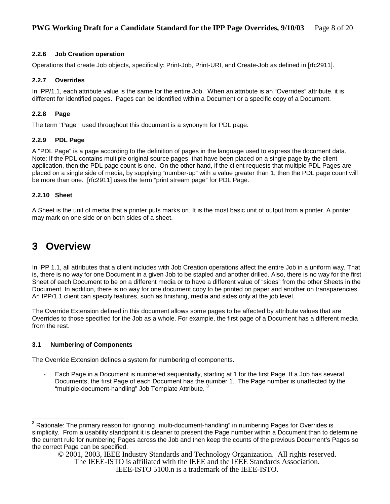# **2.2.6 Job Creation operation**

Operations that create Job objects, specifically: Print-Job, Print-URI, and Create-Job as defined in [rfc2911].

# **2.2.7 Overrides**

In IPP/1.1, each attribute value is the same for the entire Job. When an attribute is an "Overrides" attribute, it is different for identified pages. Pages can be identified within a Document or a specific copy of a Document.

# **2.2.8 Page**

The term "Page" used throughout this document is a synonym for PDL page.

# **2.2.9 PDL Page**

A "PDL Page" is a page according to the definition of pages in the language used to express the document data. Note: If the PDL contains multiple original source pages that have been placed on a single page by the client application, then the PDL page count is one. On the other hand, if the client requests that multiple PDL Pages are placed on a single side of media, by supplying "number-up" with a value greater than 1, then the PDL page count will be more than one. [rfc2911] uses the term "print stream page" for PDL Page.

# **2.2.10 Sheet**

A Sheet is the unit of media that a printer puts marks on. It is the most basic unit of output from a printer. A printer may mark on one side or on both sides of a sheet.

# **3 Overview**

In IPP 1.1, all attributes that a client includes with Job Creation operations affect the entire Job in a uniform way. That is, there is no way for one Document in a given Job to be stapled and another drilled. Also, there is no way for the first Sheet of each Document to be on a different media or to have a different value of "sides" from the other Sheets in the Document. In addition, there is no way for one document copy to be printed on paper and another on transparencies. An IPP/1.1 client can specify features, such as finishing, media and sides only at the job level.

The Override Extension defined in this document allows some pages to be affected by attribute values that are Overrides to those specified for the Job as a whole. For example, the first page of a Document has a different media from the rest.

# **3.1 Numbering of Components**

The Override Extension defines a system for numbering of components.

Each Page in a Document is numbered sequentially, starting at 1 for the first Page. If a Job has several Documents, the first Page of each Document has the number 1. The Page number is unaffected by the "multiple-document-handling" Job Template Attribute.<sup>3</sup>

\_\_\_\_\_\_\_\_\_\_\_\_\_\_\_\_\_\_\_\_\_\_\_\_\_\_\_\_\_\_\_\_\_\_<br><sup>3</sup> Rationale: The primary reason for ignoring "multi-document-handling" in numbering Pages for Overrides is simplicity. From a usability standpoint it is cleaner to present the Page number within a Document than to determine the current rule for numbering Pages across the Job and then keep the counts of the previous Document's Pages so the correct Page can be specified.

<sup>© 2001, 2003,</sup> IEEE Industry Standards and Technology Organization. All rights reserved.

The IEEE-ISTO is affiliated with the IEEE and the IEEE Standards Association.

IEEE-ISTO 5100.n is a trademark of the IEEE-ISTO.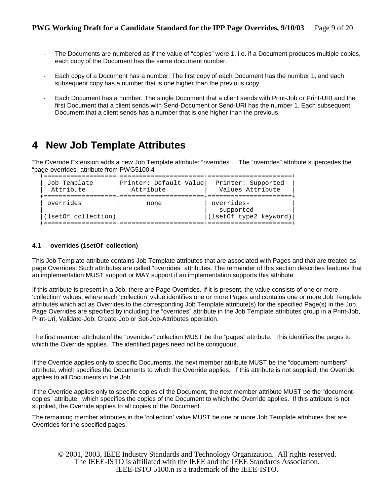- The Documents are numbered as if the value of "copies" were 1, i.e. if a Document produces multiple copies, each copy of the Document has the same document number.
- Each copy of a Document has a number. The first copy of each Document has the number 1, and each subsequent copy has a number that is one higher than the previous copy.
- Each Document has a number. The single Document that a client sends with Print-Job or Print-URI and the first Document that a client sends with Send-Document or Send-URI has the number 1. Each subsequent Document that a client sends has a number that is one higher than the previous.

# **4 New Job Template Attributes**

The Override Extension adds a new Job Template attribute: "overrides". The "overrides" attribute supercedes the "page-overrides" attribute from PWG5100.4

```
 +===================+======================+======================+ 
 | Job Template |Printer: Default Value| Printer: Supported | 
 Attribute | Attribute | Values Attribute
 +===================+======================+======================+ 
| overrides | none | overrides-
|<br>|(1setOf collection)|<br>|(1setOf collection)|
                             |(1setOf\_type2~keyword)| +===================+======================+======================+
```
#### **4.1 overrides (1setOf collection)**

This Job Template attribute contains Job Template attributes that are associated with Pages and that are treated as page Overrides. Such attributes are called "overrides" attributes. The remainder of this section describes features that an implementation MUST support or MAY support if an implementation supports this attribute.

If this attribute is present in a Job, there are Page Overrides. If it is present, the value consists of one or more 'collection' values, where each 'collection' value identifies one or more Pages and contains one or more Job Template attributes which act as Overrides to the corresponding Job Template attribute(s) for the specified Page(s) in the Job. Page Overrides are specified by including the "overrides" attribute in the Job Template attributes group in a Print-Job, Print-Uri, Validate-Job, Create-Job or Set-Job-Attributes operation.

The first member attribute of the "overrides" collection MUST be the "pages" attribute. This identifies the pages to which the Override applies. The identified pages need not be contiguous.

If the Override applies only to specific Documents, the next member attribute MUST be the "document-numbers" attribute, which specifies the Documents to which the Override applies. If this attribute is not supplied, the Override applies to all Documents in the Job.

If the Override applies only to specific copies of the Document, the next member attribute MUST be the "documentcopies" attribute, which specifies the copies of the Document to which the Override applies. If this attribute is not supplied, the Override applies to all copies of the Document.

The remaining member attributes in the 'collection' value MUST be one or more Job Template attributes that are Overrides for the specified pages.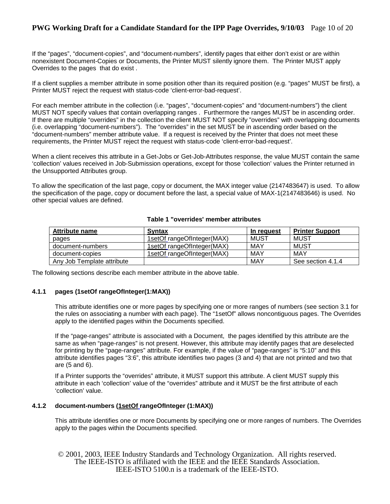# **PWG Working Draft for a Candidate Standard for the IPP Page Overrides, 9/10/03** Page 10 of 20

If the "pages", "document-copies", and "document-numbers", identify pages that either don't exist or are within nonexistent Document-Copies or Documents, the Printer MUST silently ignore them. The Printer MUST apply Overrides to the pages that do exist .

If a client supplies a member attribute in some position other than its required position (e.g. "pages" MUST be first), a Printer MUST reject the request with status-code 'client-error-bad-request'.

For each member attribute in the collection (i.e. "pages", "document-copies" and "document-numbers") the client MUST NOT specify values that contain overlapping ranges . Furthermore the ranges MUST be in ascending order. If there are multiple "overrides" in the collection the client MUST NOT specify "overrides" with overlapping documents (i.e. overlapping "document-numbers"). The "overrides" in the set MUST be in ascending order based on the "document-numbers" member attribute value. If a request is received by the Printer that does not meet these requirements, the Printer MUST reject the request with status-code 'client-error-bad-request'.

When a client receives this attribute in a Get-Jobs or Get-Job-Attributes response, the value MUST contain the same 'collection' values received in Job-Submission operations, except for those 'collection' values the Printer returned in the Unsupported Attributes group.

To allow the specification of the last page, copy or document, the MAX integer value (2147483647) is used. To allow the specification of the page, copy or document before the last, a special value of MAX-1(2147483646) is used. No other special values are defined.

## **Table 1 "overrides' member attributes**

| <b>Attribute name</b>      | <b>Syntax</b>              | In request | <b>Printer Support</b> |
|----------------------------|----------------------------|------------|------------------------|
| pages                      | 1setOf rangeOfInteger(MAX) | MUST       | MUST                   |
| document-numbers           | 1setOf rangeOfInteger(MAX) | MAY        | MUST                   |
| document-copies            | 1setOf rangeOfInteger(MAX) | MAY        | MAY                    |
| Any Job Template attribute |                            | MAY        | See section 4.1.4      |

The following sections describe each member attribute in the above table.

#### **4.1.1 pages (1setOf rangeOfInteger(1:MAX))**

This attribute identifies one or more pages by specifying one or more ranges of numbers (see section 3.1 for the rules on associating a number with each page). The "1setOf" allows noncontiguous pages. The Overrides apply to the identified pages within the Documents specified.

If the "page-ranges" attribute is associated with a Document, the pages identified by this attribute are the same as when "page-ranges" is not present. However, this attribute may identify pages that are deselected for printing by the "page-ranges" attribute. For example, if the value of "page-ranges" is "5:10" and this attribute identifies pages "3:6", this attribute identifies two pages (3 and 4) that are not printed and two that are (5 and 6).

If a Printer supports the "overrides" attribute, it MUST support this attribute. A client MUST supply this attribute in each 'collection' value of the "overrides" attribute and it MUST be the first attribute of each 'collection' value.

### **4.1.2 document-numbers (1setOf rangeOfInteger (1:MAX))**

This attribute identifies one or more Documents by specifying one or more ranges of numbers. The Overrides apply to the pages within the Documents specified.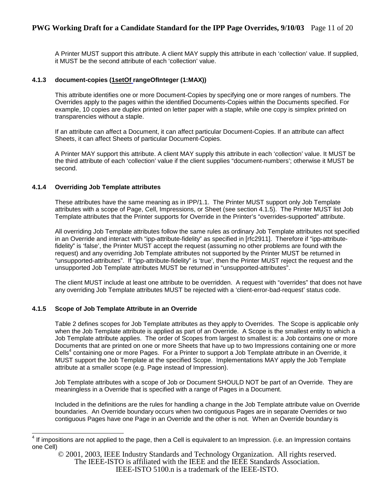# **PWG Working Draft for a Candidate Standard for the IPP Page Overrides, 9/10/03** Page 11 of 20

A Printer MUST support this attribute. A client MAY supply this attribute in each 'collection' value. If supplied, it MUST be the second attribute of each 'collection' value.

#### **4.1.3 document-copies (1setOf rangeOfInteger (1:MAX))**

This attribute identifies one or more Document-Copies by specifying one or more ranges of numbers. The Overrides apply to the pages within the identified Documents-Copies within the Documents specified. For example, 10 copies are duplex printed on letter paper with a staple, while one copy is simplex printed on transparencies without a staple.

If an attribute can affect a Document, it can affect particular Document-Copies. If an attribute can affect Sheets, it can affect Sheets of particular Document-Copies.

A Printer MAY support this attribute. A client MAY supply this attribute in each 'collection' value. It MUST be the third attribute of each 'collection' value if the client supplies "document-numbers'; otherwise it MUST be second.

### **4.1.4 Overriding Job Template attributes**

These attributes have the same meaning as in IPP/1.1. The Printer MUST support only Job Template attributes with a scope of Page, Cell, Impressions, or Sheet (see section 4.1.5). The Printer MUST list Job Template attributes that the Printer supports for Override in the Printer's "overrides-supported" attribute.

All overriding Job Template attributes follow the same rules as ordinary Job Template attributes not specified in an Override and interact with "ipp-attribute-fidelity" as specified in [rfc2911]. Therefore if "ipp-attributefidelity" is 'false', the Printer MUST accept the request (assuming no other problems are found with the request) and any overriding Job Template attributes not supported by the Printer MUST be returned in "unsupported-attributes". If "ipp-attribute-fidelity" is 'true', then the Printer MUST reject the request and the unsupported Job Template attributes MUST be returned in "unsupported-attributes".

The client MUST include at least one attribute to be overridden. A request with "overrides" that does not have any overriding Job Template attributes MUST be rejected with a 'client-error-bad-request' status code.

#### **4.1.5 Scope of Job Template Attribute in an Override**

Table 2 defines scopes for Job Template attributes as they apply to Overrides. The Scope is applicable only when the Job Template attribute is applied as part of an Override. A Scope is the smallest entity to which a Job Template attribute applies. The order of Scopes from largest to smallest is: a Job contains one or more Documents that are printed on one or more Sheets that have up to two Impressions containing one or more Cells<sup>4</sup> containing one or more Pages. For a Printer to support a Job Template attribute in an Override, it MUST support the Job Template at the specified Scope. Implementations MAY apply the Job Template attribute at a smaller scope (e.g. Page instead of Impression).

Job Template attributes with a scope of Job or Document SHOULD NOT be part of an Override. They are meaningless in a Override that is specified with a range of Pages in a Document.

Included in the definitions are the rules for handling a change in the Job Template attribute value on Override boundaries. An Override boundary occurs when two contiguous Pages are in separate Overrides or two contiguous Pages have one Page in an Override and the other is not. When an Override boundary is

<sup>&</sup>lt;u>ed the mode of the mode of the pame of the page, then a</u> Cell is equivalent to an Impression. (i.e. an Impression contains and if the page, then a Cell is equivalent to an Impression and the page, then a Cell is equivalen one Cell)

<sup>© 2001, 2003,</sup> IEEE Industry Standards and Technology Organization. All rights reserved. The IEEE-ISTO is affiliated with the IEEE and the IEEE Standards Association. IEEE-ISTO 5100.n is a trademark of the IEEE-ISTO.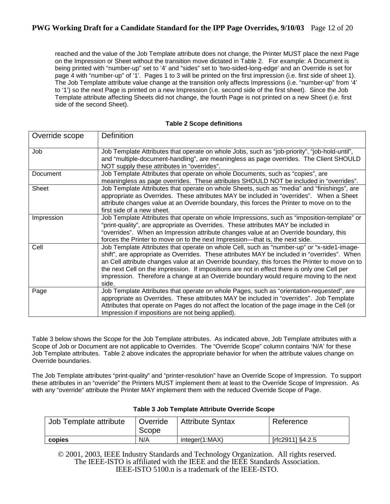# **PWG Working Draft for a Candidate Standard for the IPP Page Overrides, 9/10/03** Page 12 of 20

reached and the value of the Job Template attribute does not change, the Printer MUST place the next Page on the Impression or Sheet without the transition move dictated in Table 2. For example: A Document is being printed with "number-up" set to '4' and "sides" set to 'two-sided-long-edge' and an Override is set for page 4 with "number-up" of '1'. Pages 1 to 3 will be printed on the first impression (i.e. first side of sheet 1). The Job Template attribute value change at the transition only affects Impressions (i.e. "number-up" from '4' to '1') so the next Page is printed on a new Impression (i.e. second side of the first sheet). Since the Job Template attribute affecting Sheets did not change, the fourth Page is not printed on a new Sheet (i.e. first side of the second Sheet).

| Override scope | Definition                                                                                                                                                                                                                                                                                                                                                                                                                                                                                      |
|----------------|-------------------------------------------------------------------------------------------------------------------------------------------------------------------------------------------------------------------------------------------------------------------------------------------------------------------------------------------------------------------------------------------------------------------------------------------------------------------------------------------------|
| Job            | Job Template Attributes that operate on whole Jobs, such as "job-priority", "job-hold-until",<br>and "multiple-document-handling", are meaningless as page overrides. The Client SHOULD<br>NOT supply these attributes in "overrides".                                                                                                                                                                                                                                                          |
| Document       | Job Template Attributes that operate on whole Documents, such as "copies", are<br>meaningless as page overrides. These attributes SHOULD NOT be included in "overrides".                                                                                                                                                                                                                                                                                                                        |
| Sheet          | Job Template Attributes that operate on whole Sheets, such as "media" and "finishings", are<br>appropriate as Overrides. These attributes MAY be included in "overrides". When a Sheet<br>attribute changes value at an Override boundary, this forces the Printer to move on to the<br>first side of a new sheet.                                                                                                                                                                              |
| Impression     | Job Template Attributes that operate on whole Impressions, such as "imposition-template" or<br>"print-quality", are appropriate as Overrides. These attributes MAY be included in<br>"overrides". When an Impression attribute changes value at an Override boundary, this<br>forces the Printer to move on to the next Impression—that is, the next side.                                                                                                                                      |
| Cell           | Job Template Attributes that operate on whole Cell, such as "number-up" or "x-side1-image-<br>shift", are appropriate as Overrides. These attributes MAY be included in "overrides". When<br>an Cell attribute changes value at an Override boundary, this forces the Printer to move on to<br>the next Cell on the impression. If impositions are not in effect there is only one Cell per<br>impression. Therefore a change at an Override boundary would require moving to the next<br>side. |
| Page           | Job Template Attributes that operate on whole Pages, such as "orientation-requested", are<br>appropriate as Overrides. These attributes MAY be included in "overrides". Job Template<br>Attributes that operate on Pages do not affect the location of the page image in the Cell (or<br>Impression if impositions are not being applied).                                                                                                                                                      |

#### **Table 2 Scope definitions**

Table 3 below shows the Scope for the Job Template attributes. As indicated above, Job Template attributes with a Scope of Job or Document are not applicable to Overrides. The "Override Scope" column contains 'N/A' for these Job Template attributes. Table 2 above indicates the appropriate behavior for when the attribute values change on Override boundaries.

The Job Template attributes "print-quality" and "printer-resolution" have an Override Scope of Impression. To support these attributes in an "override" the Printers MUST implement them at least to the Override Scope of Impression. As with any "override" attribute the Printer MAY implement them with the reduced Override Scope of Page.

| Job Template attribute | Override<br>Scope | <b>Attribute Syntax</b> | Reference        |
|------------------------|-------------------|-------------------------|------------------|
| copies                 | N/A               | integer(1:MAX)          | [rfc2911] §4.2.5 |

# **Table 3 Job Template Attribute Override Scope**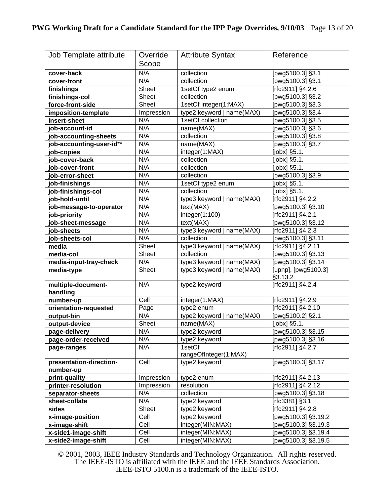| Job Template attribute   | Override     | <b>Attribute Syntax</b>   | Reference                        |
|--------------------------|--------------|---------------------------|----------------------------------|
|                          |              |                           |                                  |
|                          | Scope        |                           |                                  |
| cover-back               | N/A          | collection                | [pwg5100.3] §3.1                 |
| cover-front              | N/A          | collection                | [pwg5100.3] §3.1                 |
| finishings               | Sheet        | 1setOf type2 enum         | [rfc2911] §4.2.6                 |
| finishings-col           | Sheet        | collection                | [pwg5100.3] §3.2                 |
| force-front-side         | Sheet        | 1setOf integer(1:MAX)     | [pwg5100.3] §3.3                 |
| imposition-template      | Impression   | type2 keyword   name(MAX) | [pwg5100.3] §3.4                 |
| insert-sheet             | N/A          | 1setOf collection         | [pwg5100.3] §3.5                 |
| job-account-id           | N/A          | name(MAX)                 | [pwg5100.3] §3.6                 |
| job-accounting-sheets    | N/A          | collection                | [pwg5100.3] §3.8                 |
| job-accounting-user-id** | N/A          | name(MAX)                 | [pwg5100.3] §3.7                 |
| job-copies               | N/A          | integer(1:MAX)            | [jobx] §5.1.                     |
| job-cover-back           | N/A          | collection                | [jobx] §5.1.                     |
| ob-cover-front           | N/A          | collection                | $\overline{[i\text{obx}]}$ §5.1. |
| job-error-sheet          | N/A          | collection                | [pwg5100.3] $§3.9$               |
| job-finishings           | N/A          | 1setOf type2 enum         | $[jobx]$ §5.1.                   |
| job-finishings-col       | N/A          | collection                | [jobx] §5.1.                     |
| job-hold-until           | N/A          | type3 keyword   name(MAX) | [rfc2911] §4.2.2                 |
| job-message-to-operator  | N/A          | text(MAX)                 | [pwg5100.3] §3.10                |
| job-priority             | N/A          | integer(1:100)            | [rfc2911] §4.2.1                 |
| job-sheet-message        | N/A          | text(MAX)                 | [pwg5100.3] §3.12                |
| job-sheets               | N/A          | type3 keyword   name(MAX) | [rfc2911] §4.2.3                 |
| job-sheets-col           | N/A          | collection                | [pwg5100.3] §3.11                |
| media                    | Sheet        | type3 keyword   name(MAX) | [rfc2911] §4.2.11                |
| media-col                | Sheet        | collection                | [pwg5100.3] §3.13                |
| media-input-tray-check   | N/A          | type3 keyword   name(MAX) | [pwg5100.3] §3.14                |
| media-type               | <b>Sheet</b> | type3 keyword   name(MAX) | [upnp], [pwg5100.3]              |
|                          |              |                           | §3.13.2                          |
| multiple-document-       | N/A          | type2 keyword             | [rfc2911] $\sqrt{34.2.4}$        |
| handling                 |              |                           |                                  |
| number-up                | Cell         | integer(1:MAX)            | [rfc2911] §4.2.9                 |
| orientation-requested    | Page         | type2 enum                | [rfc2911] §4.2.10                |
| output-bin               | N/A          | type2 keyword   name(MAX) | [pwg5100.2] §2.1                 |
| output-device            | Sheet        | name(MAX)                 | [jobx] §5.1.                     |
| page-delivery            | N/A          | type2 keyword             | [pwg5100.3] §3.15                |
| page-order-received      | N/A          | type2 keyword             | [pwg5100.3] §3.16                |
| page-ranges              | N/A          | 1setOf                    | [rfc2911] §4.2.7                 |
|                          |              | rangeOfInteger(1:MAX)     |                                  |
| presentation-direction-  | Cell         | type2 keyword             | [pwg5100.3] §3.17                |
| number-up                |              |                           |                                  |
| print-quality            | Impression   | type2 enum                | [rfc2911] §4.2.13                |
| printer-resolution       | Impression   | resolution                | [rfc2911] §4.2.12                |
| separator-sheets         | N/A          | collection                | [pwg5100.3] §3.18                |
| sheet-collate            | N/A          | type2 keyword             | [rfc3381] §3.1                   |
| sides                    | Sheet        | type2 keyword             | [rfc2911] §4.2.8                 |
| x-image-position         | Cell         | type2 keyword             | [pwg5100.3] §3.19.2              |
| x-image-shift            | Cell         | integer(MIN:MAX)          | [pwg5100.3] §3.19.3              |
| x-side1-image-shift      | Cell         | integer(MIN:MAX)          | [pwg5100.3] §3.19.4              |
| x-side2-image-shift      | Cell         | integer(MIN:MAX)          | [pwg5100.3] §3.19.5              |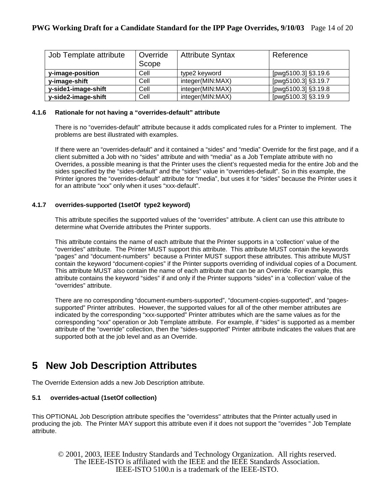| Job Template attribute | Override<br>Scope | <b>Attribute Syntax</b> | Reference           |
|------------------------|-------------------|-------------------------|---------------------|
| y-image-position       | Cell              | type2 keyword           | [pwg5100.3] §3.19.6 |
| y-image-shift          | Cell              | integer(MIN:MAX)        | [pwg5100.3] §3.19.7 |
| y-side1-image-shift    | Cell              | integer(MIN:MAX)        | [pwg5100.3] §3.19.8 |
| y-side2-image-shift    | Cell              | integer(MIN:MAX)        | [pwg5100.3] §3.19.9 |

### **4.1.6 Rationale for not having a "overrides-default" attribute**

There is no "overrides-default" attribute because it adds complicated rules for a Printer to implement. The problems are best illustrated with examples.

If there were an "overrides-default" and it contained a "sides" and "media" Override for the first page, and if a client submitted a Job with no "sides" attribute and with "media" as a Job Template attribute with no Overrides, a possible meaning is that the Printer uses the client's requested media for the entire Job and the sides specified by the "sides-default" and the "sides" value in "overrides-default". So in this example, the Printer ignores the "overrides-default" attribute for "media", but uses it for "sides" because the Printer uses it for an attribute "xxx" only when it uses "xxx-default".

### **4.1.7 overrides-supported (1setOf type2 keyword)**

This attribute specifies the supported values of the "overrides" attribute. A client can use this attribute to determine what Override attributes the Printer supports.

This attribute contains the name of each attribute that the Printer supports in a 'collection' value of the "overrides" attribute. The Printer MUST support this attribute. This attribute MUST contain the keywords "pages" and "document-numbers" because a Printer MUST support these attributes. This attribute MUST contain the keyword "document-copies" if the Printer supports overriding of individual copies of a Document. This attribute MUST also contain the name of each attribute that can be an Override. For example, this attribute contains the keyword "sides" if and only if the Printer supports "sides" in a 'collection' value of the "overrides" attribute.

There are no corresponding "document-numbers-supported", "document-copies-supported", and "pagessupported" Printer attributes. However, the supported values for all of the other member attributes are indicated by the corresponding "xxx-supported" Printer attributes which are the same values as for the corresponding "xxx" operation or Job Template attribute. For example, if "sides" is supported as a member attribute of the "override" collection, then the "sides-supported" Printer attribute indicates the values that are supported both at the job level and as an Override.

# **5 New Job Description Attributes**

The Override Extension adds a new Job Description attribute.

# **5.1 overrides-actual (1setOf collection)**

This OPTIONAL Job Description attribute specifies the "overridess" attributes that the Printer actually used in producing the job. The Printer MAY support this attribute even if it does not support the "overrides " Job Template attribute.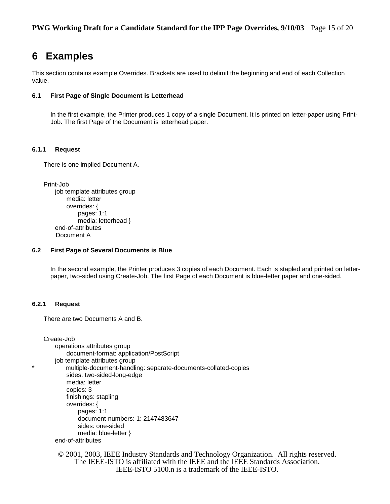# **6 Examples**

This section contains example Overrides. Brackets are used to delimit the beginning and end of each Collection value.

#### **6.1 First Page of Single Document is Letterhead**

In the first example, the Printer produces 1 copy of a single Document. It is printed on letter-paper using Print-Job. The first Page of the Document is letterhead paper.

#### **6.1.1 Request**

There is one implied Document A.

```
Print-Job 
    job template attributes group 
        media: letter 
        overrides: { 
             pages: 1:1 
             media: letterhead }
    end-of-attributes 
     Document A
```
#### **6.2 First Page of Several Documents is Blue**

In the second example, the Printer produces 3 copies of each Document. Each is stapled and printed on letterpaper, two-sided using Create-Job. The first Page of each Document is blue-letter paper and one-sided.

#### **6.2.1 Request**

There are two Documents A and B.

```
Create-Job 
     operations attributes group 
        document-format: application/PostScript 
    job template attributes group 
        multiple-document-handling: separate-documents-collated-copies
        sides: two-sided-long-edge 
        media: letter 
        copies: 3 
        finishings: stapling 
        overrides: { 
            pages: 1:1 
            document-numbers: 1: 2147483647 
            sides: one-sided 
            media: blue-letter }
    end-of-attributes
```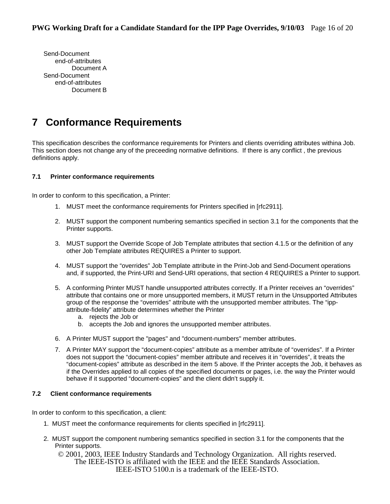Send-Document end-of-attributes Document A Send-Document end-of-attributes Document B

# **7 Conformance Requirements**

This specification describes the conformance requirements for Printers and clients overriding attributes withina Job. This section does not change any of the preceeding normative definitions. If there is any conflict , the previous definitions apply.

# **7.1 Printer conformance requirements**

In order to conform to this specification, a Printer:

- 1. MUST meet the conformance requirements for Printers specified in [rfc2911].
- 2. MUST support the component numbering semantics specified in section 3.1 for the components that the Printer supports.
- 3. MUST support the Override Scope of Job Template attributes that section 4.1.5 or the definition of any other Job Template attributes REQUIRES a Printer to support.
- 4. MUST support the "overrides" Job Template attribute in the Print-Job and Send-Document operations and, if supported, the Print-URI and Send-URI operations, that section 4 REQUIRES a Printer to support.
- 5. A conforming Printer MUST handle unsupported attributes correctly. If a Printer receives an "overrides" attribute that contains one or more unsupported members, it MUST return in the Unsupported Attributes group of the response the "overrides" attribute with the unsupported member attributes. The "ippattribute-fidelity" attribute determines whether the Printer
	- a. rejects the Job or
	- b. accepts the Job and ignores the unsupported member attributes.
- 6. A Printer MUST support the "pages" and "document-numbers" member attributes.
- 7. A Printer MAY support the "document-copies" attribute as a member attribute of "overrides". If a Printer does not support the "document-copies" member attribute and receives it in "overrides", it treats the "document-copies" attribute as described in the item 5 above. If the Printer accepts the Job, it behaves as if the Overrides applied to all copies of the specified documents or pages, i.e. the way the Printer would behave if it supported "document-copies" and the client didn't supply it.

# **7.2 Client conformance requirements**

In order to conform to this specification, a client:

- 1. MUST meet the conformance requirements for clients specified in [rfc2911].
- 2. MUST support the component numbering semantics specified in section 3.1 for the components that the Printer supports.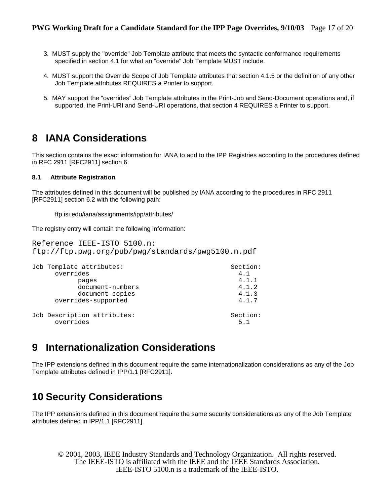- 3. MUST supply the "override" Job Template attribute that meets the syntactic conformance requirements specified in section 4.1 for what an "override" Job Template MUST include.
- 4. MUST support the Override Scope of Job Template attributes that section 4.1.5 or the definition of any other Job Template attributes REQUIRES a Printer to support.
- 5. MAY support the "overrides" Job Template attributes in the Print-Job and Send-Document operations and, if supported, the Print-URI and Send-URI operations, that section 4 REQUIRES a Printer to support.

# **8 IANA Considerations**

This section contains the exact information for IANA to add to the IPP Registries according to the procedures defined in RFC 2911 [RFC2911] section 6.

# **8.1 Attribute Registration**

The attributes defined in this document will be published by IANA according to the procedures in RFC 2911 [RFC2911] section 6.2 with the following path:

ftp.isi.edu/iana/assignments/ipp/attributes/

The registry entry will contain the following information:

```
Reference IEEE-ISTO 5100.n: 
ftp://ftp.pwg.org/pub/pwg/standards/pwg5100.n.pdf
```

| Job Template attributes:                 | Section:        |
|------------------------------------------|-----------------|
| overrides                                | 4.1             |
| pages                                    | 4.1.1           |
| document-numbers                         | 4.1.2           |
| document-copies                          | 4.1.3           |
| overrides-supported                      | 4.1.7           |
| Job Description attributes:<br>overrides | Section:<br>5.1 |

# **9 Internationalization Considerations**

The IPP extensions defined in this document require the same internationalization considerations as any of the Job Template attributes defined in IPP/1.1 [RFC2911].

# **10 Security Considerations**

The IPP extensions defined in this document require the same security considerations as any of the Job Template attributes defined in IPP/1.1 [RFC2911].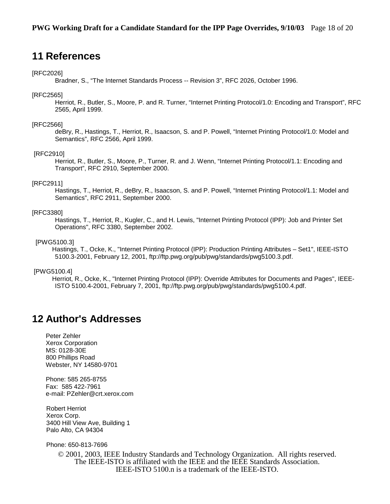# **11 References**

#### [RFC2026]

Bradner, S., "The Internet Standards Process -- Revision 3", RFC 2026, October 1996.

#### [RFC2565]

 Herriot, R., Butler, S., Moore, P. and R. Turner, "Internet Printing Protocol/1.0: Encoding and Transport", RFC 2565, April 1999.

#### [RFC2566]

 deBry, R., Hastings, T., Herriot, R., Isaacson, S. and P. Powell, "Internet Printing Protocol/1.0: Model and Semantics", RFC 2566, April 1999.

#### [RFC2910]

 Herriot, R., Butler, S., Moore, P., Turner, R. and J. Wenn, "Internet Printing Protocol/1.1: Encoding and Transport", RFC 2910, September 2000.

#### [RFC2911]

 Hastings, T., Herriot, R., deBry, R., Isaacson, S. and P. Powell, "Internet Printing Protocol/1.1: Model and Semantics", RFC 2911, September 2000.

#### [RFC3380]

 Hastings, T., Herriot, R., Kugler, C., and H. Lewis, "Internet Printing Protocol (IPP): Job and Printer Set Operations", RFC 3380, September 2002.

#### [PWG5100.3]

 Hastings, T., Ocke, K., "Internet Printing Protocol (IPP): Production Printing Attributes – Set1", IEEE-ISTO 5100.3-2001, February 12, 2001, ftp://ftp.pwg.org/pub/pwg/standards/pwg5100.3.pdf.

#### [PWG5100.4]

 Herriot, R., Ocke, K., "Internet Printing Protocol (IPP): Override Attributes for Documents and Pages", IEEE-ISTO 5100.4-2001, February 7, 2001, ftp://ftp.pwg.org/pub/pwg/standards/pwg5100.4.pdf.

# **12 Author's Addresses**

Peter Zehler Xerox Corporation MS: 0128-30E 800 Phillips Road Webster, NY 14580-9701

Phone: 585 265-8755 Fax: 585 422-7961 e-mail: PZehler@crt.xerox.com

Robert Herriot Xerox Corp. 3400 Hill View Ave, Building 1 Palo Alto, CA 94304

Phone: 650-813-7696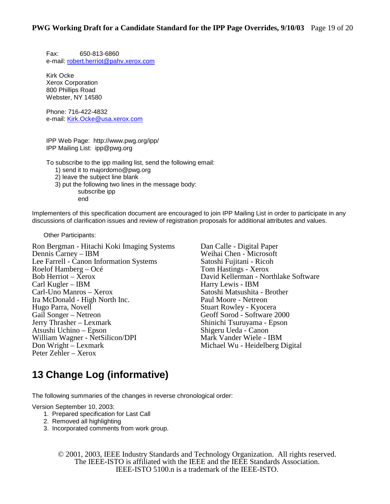Fax: 650-813-6860 e-mail: robert.herriot@pahv.xerox.com

Kirk Ocke Xerox Corporation 800 Phillips Road Webster, NY 14580

Phone: 716-422-4832 e-mail: Kirk.Ocke@usa.xerox.com

IPP Web Page: http://www.pwg.org/ipp/ IPP Mailing List: ipp@pwg.org

To subscribe to the ipp mailing list, send the following email:

- 1) send it to majordomo@pwg.org
- 2) leave the subject line blank
- 3) put the following two lines in the message body: subscribe ipp

end

Implementers of this specification document are encouraged to join IPP Mailing List in order to participate in any discussions of clarification issues and review of registration proposals for additional attributes and values.

Other Participants:

Ron Bergman - Hitachi Koki Imaging Systems Dan Calle - Digital Paper Dennis Carney – IBM<br>
Lee Farrell - Canon Information Systems<br>
Satoshi Fujitani - Ricoh Lee Farrell - Canon Information Systems Satoshi Fujitani - Rico<br>Roelof Hamberg – Océ Tom Hastings - Xerox Roelof Hamberg – Océ<br>Bob Herriot – Xerox Bob Herriot – Xerox David Kellerman - Northlake Software<br>Carl Kugler – IBM Harry Lewis - IBM Carl Kugler – IBM Harry Lewis - IBM Ira McDonald - High North Inc. Hugo Parra, Novell Stuart Rowley - Kyocera<br>
Gail Songer – Netreon Stuart Rowley - Software 2 Gail Songer – Netreon<br>
Jerry Thrasher – Lexmark<br>
Shinichi Tsuruyama - Epson Atsushi Uchino – Epson William Wagner - NetSilicon/DPI Mark Vander Wiele - IBM<br>
Don Wright – Lexmark Michael Wu - Heidelberg I Peter Zehler – Xerox

Satoshi Matsushita - Brother<br>Paul Moore - Netreon Shinichi Tsuruyama - Epson<br>Shigeru Ueda - Canon Michael Wu - Heidelberg Digital

# **13 Change Log (informative)**

The following summaries of the changes in reverse chronological order:

Version September 10, 2003:

- 1. Prepared specification for Last Call
- 2. Removed all highlighting
- 3. Incorporated comments from work group.